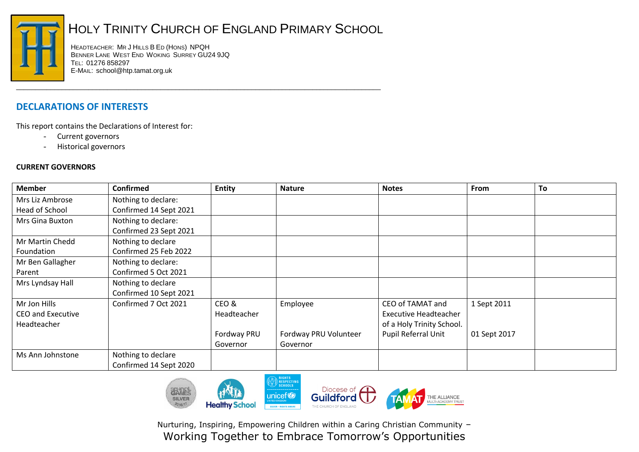

## HOLY TRINITY CHURCH OF ENGLAND PRIMARY SCHOOL

\_\_\_\_\_\_\_\_\_\_\_\_\_\_\_\_\_\_\_\_\_\_\_\_\_\_\_\_\_\_\_\_\_\_\_\_\_\_\_\_\_\_\_\_\_\_\_\_\_\_\_\_\_\_\_\_\_\_\_\_\_\_\_\_\_\_\_\_\_\_\_\_\_\_\_\_\_\_\_\_\_\_\_\_\_\_\_\_\_\_\_\_\_\_\_\_

HEADTEACHER: MR J HILLS B ED (HONS) NPQH BENNER LANE WEST END WOKING SURREY GU24 9JQ TEL: 01276 858297 E-MAIL: school@htp.tamat.org.uk

## **DECLARATIONS OF INTERESTS**

This report contains the Declarations of Interest for:

- Current governors
- Historical governors

## **CURRENT GOVERNORS**

| <b>Member</b>            | <b>Confirmed</b>       | <b>Entity</b> | <b>Nature</b>         | <b>Notes</b>                 | From         | To |
|--------------------------|------------------------|---------------|-----------------------|------------------------------|--------------|----|
| Mrs Liz Ambrose          | Nothing to declare:    |               |                       |                              |              |    |
| Head of School           | Confirmed 14 Sept 2021 |               |                       |                              |              |    |
| Mrs Gina Buxton          | Nothing to declare:    |               |                       |                              |              |    |
|                          | Confirmed 23 Sept 2021 |               |                       |                              |              |    |
| Mr Martin Chedd          | Nothing to declare     |               |                       |                              |              |    |
| Foundation               | Confirmed 25 Feb 2022  |               |                       |                              |              |    |
| Mr Ben Gallagher         | Nothing to declare:    |               |                       |                              |              |    |
| Parent                   | Confirmed 5 Oct 2021   |               |                       |                              |              |    |
| Mrs Lyndsay Hall         | Nothing to declare     |               |                       |                              |              |    |
|                          | Confirmed 10 Sept 2021 |               |                       |                              |              |    |
| Mr Jon Hills             | Confirmed 7 Oct 2021   | CEO&          | Employee              | CEO of TAMAT and             | 1 Sept 2011  |    |
| <b>CEO and Executive</b> |                        | Headteacher   |                       | <b>Executive Headteacher</b> |              |    |
| Headteacher              |                        |               |                       | of a Holy Trinity School.    |              |    |
|                          |                        | Fordway PRU   | Fordway PRU Volunteer | Pupil Referral Unit          | 01 Sept 2017 |    |
|                          |                        | Governor      | Governor              |                              |              |    |
| Ms Ann Johnstone         | Nothing to declare     |               |                       |                              |              |    |
|                          | Confirmed 14 Sept 2020 |               |                       |                              |              |    |



Nurturing, Inspiring, Empowering Children within a Caring Christian Community – Working Together to Embrace Tomorrow's Opportunities